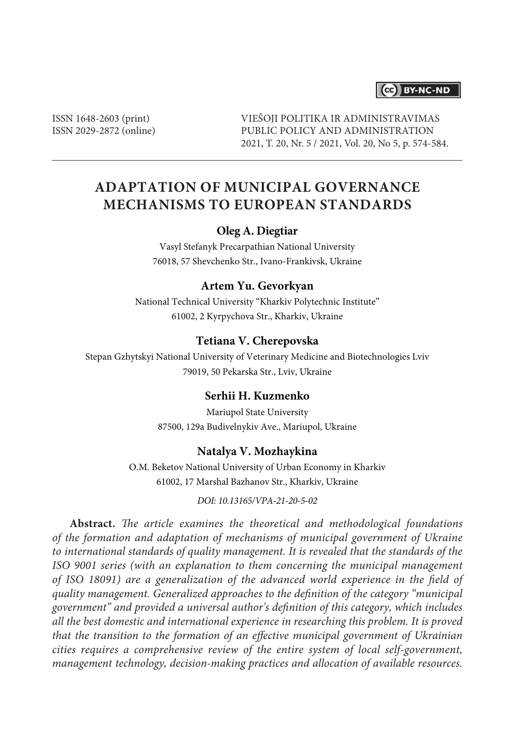# CC BY-NC-ND

ISSN 1648-2603 (print) ISSN 2029-2872 (online) VIEŠOJI POLITIKA IR ADMINISTRAVIMAS PUBLIC POLICY AND ADMINISTRATION 2021, T. 20, Nr. 5 / 2021, Vol. 20, No 5, p. 574-584.

# **ADAPTATION OF MUNICIPAL GOVERNANCE MECHANISMS TO EUROPEAN STANDARDS**

## **Oleg A. Diegtiar**

Vasyl Stefanyk Precarpathian National University 76018, 57 Shevchenko Str., Ivano-Frankivsk, Ukraine

## **Artem Yu. Gevorkyan**

National Technical University "Kharkiv Polytechnic Institute" 61002, 2 Kyrpychova Str., Kharkiv, Ukraine

#### **Tetiana V. Cherepovska**

Stepan Gzhytskyi National University of Veterinary Medicine and Biotechnologies Lviv 79019, 50 Pekarska Str., Lviv, Ukraine

## **Serhii H. Kuzmenko**

Mariupol State University 87500, 129a Budivelnykiv Ave., Mariupol, Ukraine

#### **Natalya V. Mozhaykina**

O.M. Beketov National University of Urban Economy in Kharkiv 61002, 17 Marshal Bazhanov Str., Kharkiv, Ukraine

*DOI: 10.13165/VPA-21-20-5-02*

**Abstract.** *The article examines the theoretical and methodological foundations of the formation and adaptation of mechanisms of municipal government of Ukraine to international standards of quality management. It is revealed that the standards of the ISO 9001 series (with an explanation to them concerning the municipal management of ISO 18091) are a generalization of the advanced world experience in the field of quality management. Generalized approaches to the definition of the category "municipal government" and provided a universal author's definition of this category, which includes all the best domestic and international experience in researching this problem. It is proved that the transition to the formation of an effective municipal government of Ukrainian cities requires a comprehensive review of the entire system of local self-government, management technology, decision-making practices and allocation of available resources.*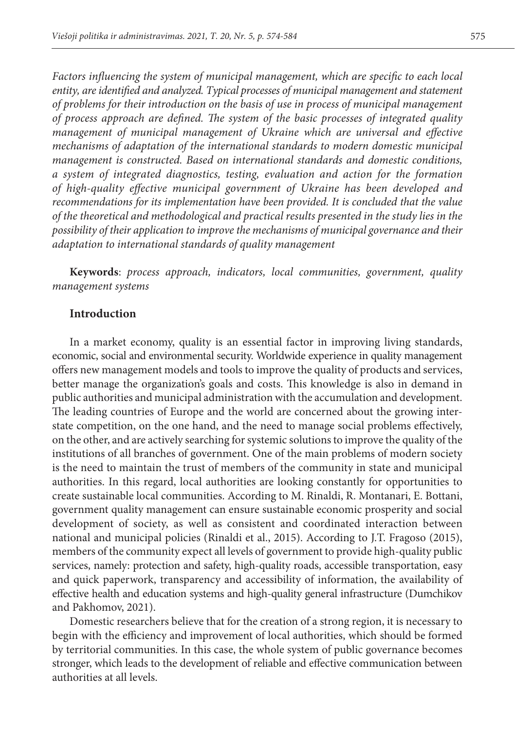*Factors influencing the system of municipal management, which are specific to each local entity, are identified and analyzed. Typical processes of municipal management and statement of problems for their introduction on the basis of use in process of municipal management of process approach are defined. The system of the basic processes of integrated quality management of municipal management of Ukraine which are universal and effective mechanisms of adaptation of the international standards to modern domestic municipal management is constructed. Based on international standards and domestic conditions, a system of integrated diagnostics, testing, evaluation and action for the formation of high-quality effective municipal government of Ukraine has been developed and recommendations for its implementation have been provided. It is concluded that the value of the theoretical and methodological and practical results presented in the study lies in the possibility of their application to improve the mechanisms of municipal governance and their adaptation to international standards of quality management*

**Keywords**: *process approach, indicators, local communities, government, quality management systems*

#### **Introduction**

In a market economy, quality is an essential factor in improving living standards, economic, social and environmental security. Worldwide experience in quality management offers new management models and tools to improve the quality of products and services, better manage the organization's goals and costs. This knowledge is also in demand in public authorities and municipal administration with the accumulation and development. The leading countries of Europe and the world are concerned about the growing interstate competition, on the one hand, and the need to manage social problems effectively, on the other, and are actively searching for systemic solutions to improve the quality of the institutions of all branches of government. One of the main problems of modern society is the need to maintain the trust of members of the community in state and municipal authorities. In this regard, local authorities are looking constantly for opportunities to create sustainable local communities. According to M. Rinaldi, R. Montanari, E. Bottani, government quality management can ensure sustainable economic prosperity and social development of society, as well as consistent and coordinated interaction between national and municipal policies (Rinaldi et al., 2015). According to J.T. Fragoso (2015), members of the community expect all levels of government to provide high-quality public services, namely: protection and safety, high-quality roads, accessible transportation, easy and quick paperwork, transparency and accessibility of information, the availability of effective health and education systems and high-quality general infrastructure (Dumchikov and Pakhomov, 2021).

Domestic researchers believe that for the creation of a strong region, it is necessary to begin with the efficiency and improvement of local authorities, which should be formed by territorial communities. In this case, the whole system of public governance becomes stronger, which leads to the development of reliable and effective communication between authorities at all levels.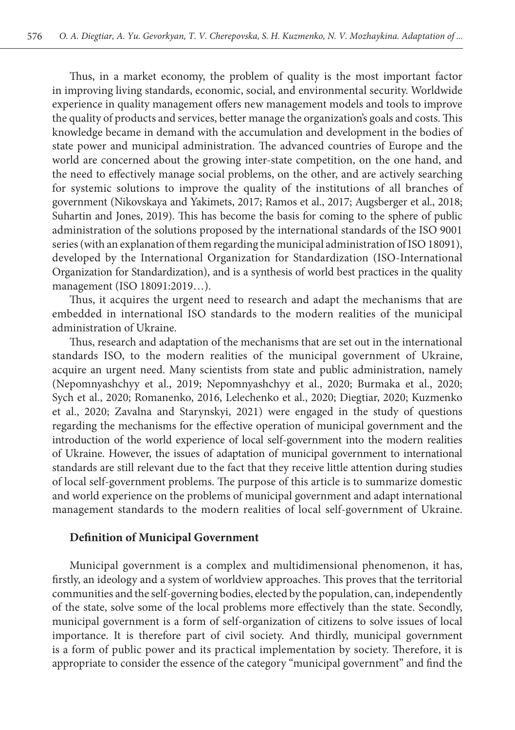Thus, in a market economy, the problem of quality is the most important factor in improving living standards, economic, social, and environmental security. Worldwide experience in quality management offers new management models and tools to improve the quality of products and services, better manage the organization's goals and costs. This knowledge became in demand with the accumulation and development in the bodies of state power and municipal administration. The advanced countries of Europe and the world are concerned about the growing inter-state competition, on the one hand, and the need to effectively manage social problems, on the other, and are actively searching for systemic solutions to improve the quality of the institutions of all branches of government (Nikovskaya and Yakimets, 2017; Ramos et al., 2017; Augsberger et al., 2018; Suhartin and Jones, 2019). This has become the basis for coming to the sphere of public administration of the solutions proposed by the international standards of the ISO 9001 series (with an explanation of them regarding the municipal administration of ISO 18091), developed by the International Organization for Standardization (ISO-International Organization for Standardization), and is a synthesis of world best practices in the quality management (ISO 18091:2019…).

Thus, it acquires the urgent need to research and adapt the mechanisms that are embedded in international ISO standards to the modern realities of the municipal administration of Ukraine.

Thus, research and adaptation of the mechanisms that are set out in the international standards ISO, to the modern realities of the municipal government of Ukraine, acquire an urgent need. Many scientists from state and public administration, namely (Nepomnyashchyy et al., 2019; Nepomnyashchyy et al., 2020; Burmaka et al., 2020; Sych et al., 2020; Romanenko, 2016, Lelechenko et al., 2020; Diegtiar, 2020; Kuzmenko et al., 2020; Zavalna and Starynskyi, 2021) were engaged in the study of questions regarding the mechanisms for the effective operation of municipal government and the introduction of the world experience of local self-government into the modern realities of Ukraine. However, the issues of adaptation of municipal government to international standards are still relevant due to the fact that they receive little attention during studies of local self-government problems. The purpose of this article is to summarize domestic and world experience on the problems of municipal government and adapt international management standards to the modern realities of local self-government of Ukraine.

#### **Definition of Municipal Government**

Municipal government is a complex and multidimensional phenomenon, it has, firstly, an ideology and a system of worldview approaches. This proves that the territorial communities and the self-governing bodies, elected by the population, can, independently of the state, solve some of the local problems more effectively than the state. Secondly, municipal government is a form of self-organization of citizens to solve issues of local importance. It is therefore part of civil society. And thirdly, municipal government is a form of public power and its practical implementation by society. Therefore, it is appropriate to consider the essence of the category "municipal government" and find the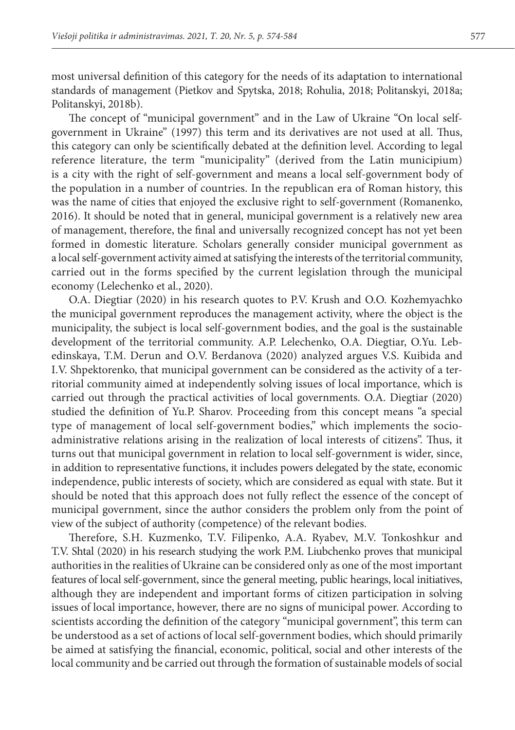most universal definition of this category for the needs of its adaptation to international standards of management (Pietkov and Spytska, 2018; Rohulia, 2018; Politanskyі, 2018a; Politanskyі, 2018b).

The concept of "municipal government" and in the Law of Ukraine "On local selfgovernment in Ukraine" (1997) this term and its derivatives are not used at all. Thus, this category can only be scientifically debated at the definition level. According to legal reference literature, the term "municipality" (derived from the Latin municipium) is a city with the right of self-government and means a local self-government body of the population in a number of countries. In the republican era of Roman history, this was the name of cities that enjoyed the exclusive right to self-government (Romanenko, 2016). It should be noted that in general, municipal government is a relatively new area of management, therefore, the final and universally recognized concept has not yet been formed in domestic literature. Scholars generally consider municipal government as a local self-government activity aimed at satisfying the interests of the territorial community, carried out in the forms specified by the current legislation through the municipal economy (Lelechenko et al., 2020).

O.A. Diegtiar (2020) in his research quotes to P.V. Krush and O.O. Kozhemyachko the municipal government reproduces the management activity, where the object is the municipality, the subject is local self-government bodies, and the goal is the sustainable development of the territorial community. A.P. Lelechenko, O.A. Diegtiar, O.Yu. Lebedinskaya, T.M. Derun and O.V. Berdanova (2020) analyzed argues V.S. Kuibida and I.V. Shpektorenko, that municipal government can be considered as the activity of a territorial community aimed at independently solving issues of local importance, which is carried out through the practical activities of local governments. O.A. Diegtiar (2020) studied the definition of Yu.P. Sharov. Proceeding from this concept means "a special type of management of local self-government bodies," which implements the socioadministrative relations arising in the realization of local interests of citizens". Thus, it turns out that municipal government in relation to local self-government is wider, since, in addition to representative functions, it includes powers delegated by the state, economic independence, public interests of society, which are considered as equal with state. But it should be noted that this approach does not fully reflect the essence of the concept of municipal government, since the author considers the problem only from the point of view of the subject of authority (competence) of the relevant bodies.

Therefore, S.H. Kuzmenko, T.V. Filipenko, A.A. Ryabev, M.V. Tonkoshkur and T.V. Shtal (2020) in his research studying the work P.M. Liubchenko proves that municipal authorities in the realities of Ukraine can be considered only as one of the most important features of local self-government, since the general meeting, public hearings, local initiatives, although they are independent and important forms of citizen participation in solving issues of local importance, however, there are no signs of municipal power. According to scientists according the definition of the category "municipal government", this term can be understood as a set of actions of local self-government bodies, which should primarily be aimed at satisfying the financial, economic, political, social and other interests of the local community and be carried out through the formation of sustainable models of social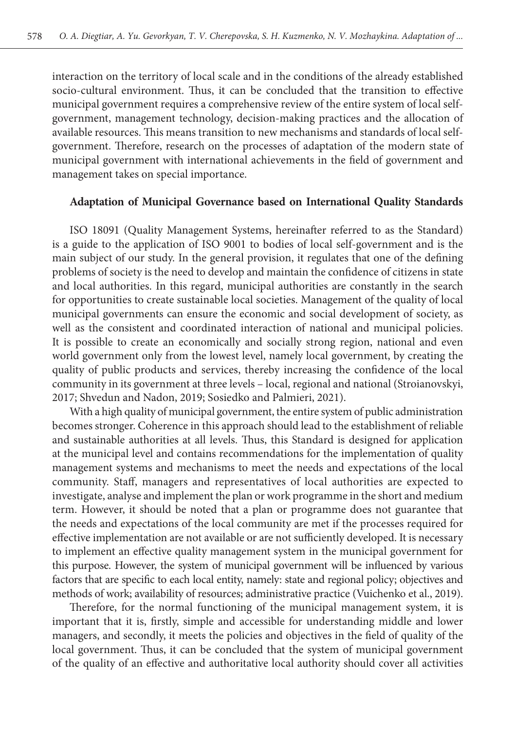interaction on the territory of local scale and in the conditions of the already established socio-cultural environment. Thus, it can be concluded that the transition to effective municipal government requires a comprehensive review of the entire system of local selfgovernment, management technology, decision-making practices and the allocation of available resources. This means transition to new mechanisms and standards of local selfgovernment. Therefore, research on the processes of adaptation of the modern state of municipal government with international achievements in the field of government and management takes on special importance.

#### **Adaptation of Municipal Governance based on International Quality Standards**

ISO 18091 (Quality Management Systems, hereinafter referred to as the Standard) is a guide to the application of ISO 9001 to bodies of local self-government and is the main subject of our study. In the general provision, it regulates that one of the defining problems of society is the need to develop and maintain the confidence of citizens in state and local authorities. In this regard, municipal authorities are constantly in the search for opportunities to create sustainable local societies. Management of the quality of local municipal governments can ensure the economic and social development of society, as well as the consistent and coordinated interaction of national and municipal policies. It is possible to create an economically and socially strong region, national and even world government only from the lowest level, namely local government, by creating the quality of public products and services, thereby increasing the confidence of the local community in its government at three levels – local, regional and national (Stroianovskyi, 2017; Shvedun and Nadon, 2019; Sosiedko and Palmieri, 2021).

With a high quality of municipal government, the entire system of public administration becomes stronger. Coherence in this approach should lead to the establishment of reliable and sustainable authorities at all levels. Thus, this Standard is designed for application at the municipal level and contains recommendations for the implementation of quality management systems and mechanisms to meet the needs and expectations of the local community. Staff, managers and representatives of local authorities are expected to investigate, analyse and implement the plan or work programme in the short and medium term. However, it should be noted that a plan or programme does not guarantee that the needs and expectations of the local community are met if the processes required for effective implementation are not available or are not sufficiently developed. It is necessary to implement an effective quality management system in the municipal government for this purpose. However, the system of municipal government will be influenced by various factors that are specific to each local entity, namely: state and regional policy; objectives and methods of work; availability of resources; administrative practice (Vuichenko et al., 2019).

Therefore, for the normal functioning of the municipal management system, it is important that it is, firstly, simple and accessible for understanding middle and lower managers, and secondly, it meets the policies and objectives in the field of quality of the local government. Thus, it can be concluded that the system of municipal government of the quality of an effective and authoritative local authority should cover all activities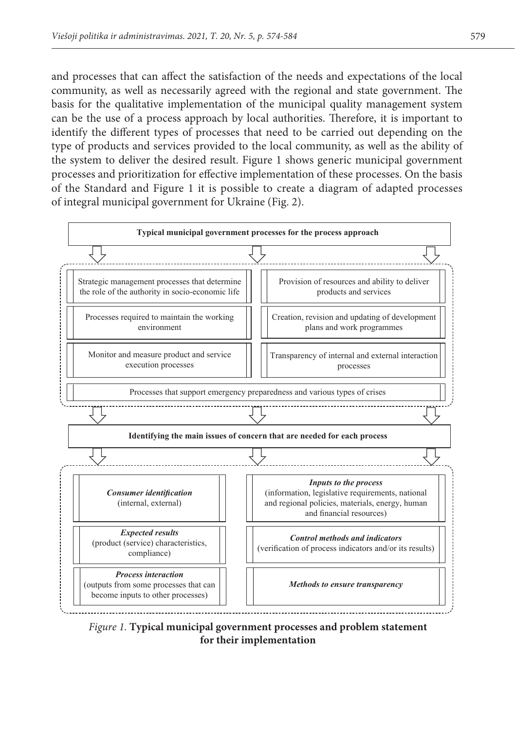and processes that can affect the satisfaction of the needs and expectations of the local community, as well as necessarily agreed with the regional and state government. The basis for the qualitative implementation of the municipal quality management system can be the use of a process approach by local authorities. Therefore, it is important to identify the different types of processes that need to be carried out depending on the type of products and services provided to the local community, as well as the ability of the system to deliver the desired result. Figure 1 shows generic municipal government processes and prioritization for effective implementation of these processes. On the basis of the Standard and Figure 1 it is possible to create a diagram of adapted processes of integral municipal government for Ukraine (Fig. 2).



*Figure 1.* **Typical municipal government processes and problem statement for their implementation**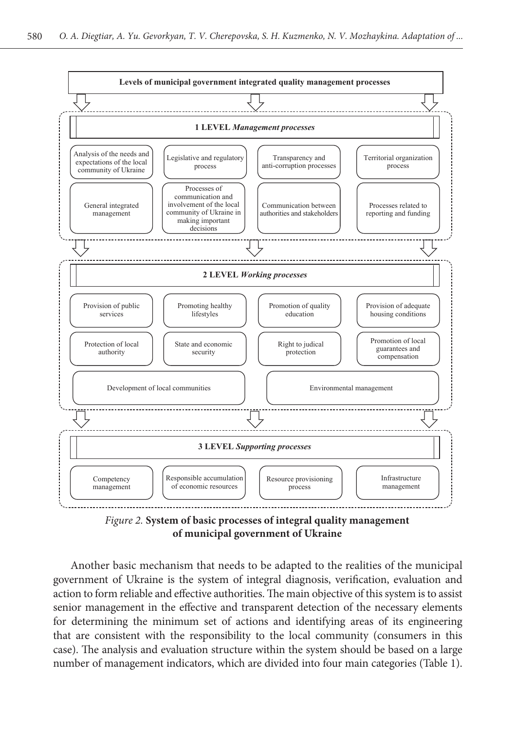

*Figure 2.* **System of basic processes of integral quality management of municipal government of Ukraine**

Another basic mechanism that needs to be adapted to the realities of the municipal government of Ukraine is the system of integral diagnosis, verification, evaluation and action to form reliable and effective authorities. The main objective of this system is to assist senior management in the effective and transparent detection of the necessary elements for determining the minimum set of actions and identifying areas of its engineering that are consistent with the responsibility to the local community (consumers in this case). The analysis and evaluation structure within the system should be based on a large number of management indicators, which are divided into four main categories (Table 1).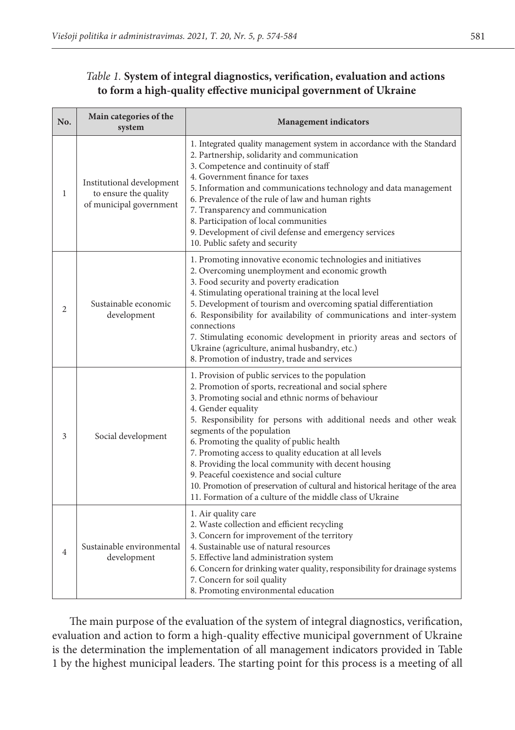# *Table 1.* **System of integral diagnostics, verification, evaluation and actions to form a high-quality effective municipal government of Ukraine**

| No.            | Main categories of the<br>system                                              | <b>Management</b> indicators                                                                                                                                                                                                                                                                                                                                                                                                                                                                                                                                                                                                                          |
|----------------|-------------------------------------------------------------------------------|-------------------------------------------------------------------------------------------------------------------------------------------------------------------------------------------------------------------------------------------------------------------------------------------------------------------------------------------------------------------------------------------------------------------------------------------------------------------------------------------------------------------------------------------------------------------------------------------------------------------------------------------------------|
| $\mathbf{1}$   | Institutional development<br>to ensure the quality<br>of municipal government | 1. Integrated quality management system in accordance with the Standard<br>2. Partnership, solidarity and communication<br>3. Competence and continuity of staff<br>4. Government finance for taxes<br>5. Information and communications technology and data management<br>6. Prevalence of the rule of law and human rights<br>7. Transparency and communication<br>8. Participation of local communities<br>9. Development of civil defense and emergency services<br>10. Public safety and security                                                                                                                                                |
| $\overline{2}$ | Sustainable economic<br>development                                           | 1. Promoting innovative economic technologies and initiatives<br>2. Overcoming unemployment and economic growth<br>3. Food security and poverty eradication<br>4. Stimulating operational training at the local level<br>5. Development of tourism and overcoming spatial differentiation<br>6. Responsibility for availability of communications and inter-system<br>connections<br>7. Stimulating economic development in priority areas and sectors of<br>Ukraine (agriculture, animal husbandry, etc.)<br>8. Promotion of industry, trade and services                                                                                            |
| 3              | Social development                                                            | 1. Provision of public services to the population<br>2. Promotion of sports, recreational and social sphere<br>3. Promoting social and ethnic norms of behaviour<br>4. Gender equality<br>5. Responsibility for persons with additional needs and other weak<br>segments of the population<br>6. Promoting the quality of public health<br>7. Promoting access to quality education at all levels<br>8. Providing the local community with decent housing<br>9. Peaceful coexistence and social culture<br>10. Promotion of preservation of cultural and historical heritage of the area<br>11. Formation of a culture of the middle class of Ukraine |
| $\overline{4}$ | Sustainable environmental<br>development                                      | 1. Air quality care<br>2. Waste collection and efficient recycling<br>3. Concern for improvement of the territory<br>4. Sustainable use of natural resources<br>5. Effective land administration system<br>6. Concern for drinking water quality, responsibility for drainage systems<br>7. Concern for soil quality<br>8. Promoting environmental education                                                                                                                                                                                                                                                                                          |

The main purpose of the evaluation of the system of integral diagnostics, verification, evaluation and action to form a high-quality effective municipal government of Ukraine is the determination the implementation of all management indicators provided in Table 1 by the highest municipal leaders. The starting point for this process is a meeting of all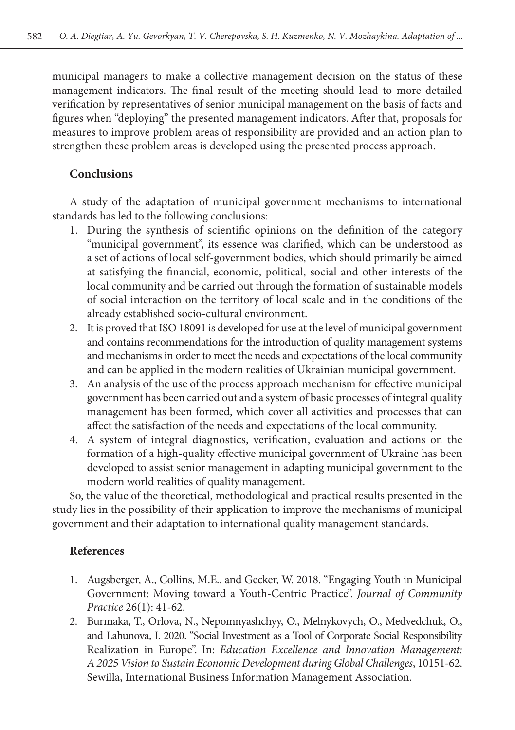municipal managers to make a collective management decision on the status of these management indicators. The final result of the meeting should lead to more detailed verification by representatives of senior municipal management on the basis of facts and figures when "deploying" the presented management indicators. After that, proposals for measures to improve problem areas of responsibility are provided and an action plan to strengthen these problem areas is developed using the presented process approach.

## **Conclusions**

A study of the adaptation of municipal government mechanisms to international standards has led to the following conclusions:

- 1. During the synthesis of scientific opinions on the definition of the category "municipal government", its essence was clarified, which can be understood as a set of actions of local self-government bodies, which should primarily be aimed at satisfying the financial, economic, political, social and other interests of the local community and be carried out through the formation of sustainable models of social interaction on the territory of local scale and in the conditions of the already established socio-cultural environment.
- 2. It is proved that ISO 18091 is developed for use at the level of municipal government and contains recommendations for the introduction of quality management systems and mechanisms in order to meet the needs and expectations of the local community and can be applied in the modern realities of Ukrainian municipal government.
- 3. An analysis of the use of the process approach mechanism for effective municipal government has been carried out and a system of basic processes of integral quality management has been formed, which cover all activities and processes that can affect the satisfaction of the needs and expectations of the local community.
- 4. A system of integral diagnostics, verification, evaluation and actions on the formation of a high-quality effective municipal government of Ukraine has been developed to assist senior management in adapting municipal government to the modern world realities of quality management.

So, the value of the theoretical, methodological and practical results presented in the study lies in the possibility of their application to improve the mechanisms of municipal government and their adaptation to international quality management standards.

## **References**

- 1. Augsberger, A., Collins, M.E., and Gecker, W. 2018. "Engaging Youth in Municipal Government: Moving toward a Youth-Centric Practice". *Journal of Community Practice* 26(1): 41-62.
- 2. Burmaka, T., Orlova, N., Nepomnyashchyy, O., Melnykovych, O., Medvedchuk, O., and Lahunova, I. 2020. "Social Investment as a Tool of Corporate Social Responsibility Realization in Europe". In: *Education Excellence and Innovation Management: A 2025 Vision to Sustain Economic Development during Global Challenges*, 10151-62. Sewilla, International Business Information Management Association.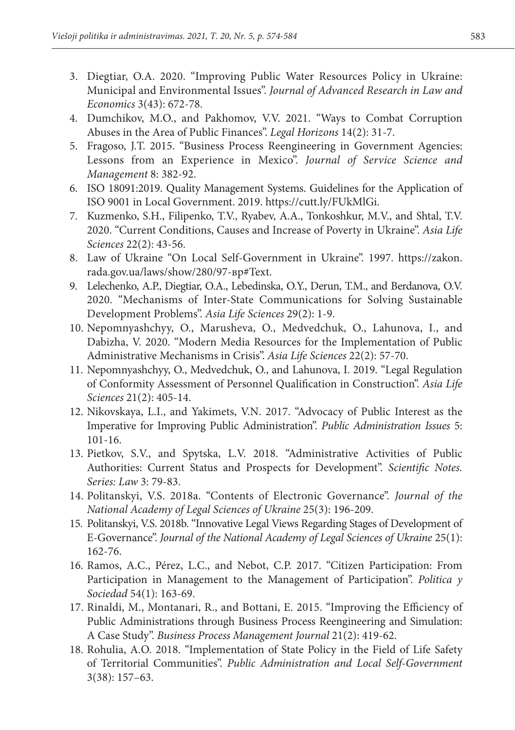- 3. Diegtiar, O.A. 2020. "Improving Public Water Resources Policy in Ukraine: Municipal and Environmental Issues". *Journal of Advanced Research in Law and Economics* 3(43): 672-78.
- 4. Dumchikov, M.O., and Pakhomov, V.V. 2021. "Ways to Combat Corruption Abuses in the Area of Public Finances". *Legal Horizons* 14(2): 31-7.
- 5. Fragoso, J.T. 2015. "Business Process Reengineering in Government Agencies: Lessons from an Experience in Mexico". *Journal of Service Science and Management* 8: 382-92.
- 6. ISO 18091:2019. Quality Management Systems. Guidelines for the Application of ISO 9001 in Local Government. 2019. https://cutt.ly/FUkMlGi.
- 7. Kuzmenko, S.H., Filipenko, T.V., Ryabev, A.A., Tonkoshkur, M.V., and Shtal, T.V. 2020. "Current Conditions, Causes and Increase of Poverty in Ukraine". *Asia Life Sciences* 22(2): 43-56.
- 8. Law of Ukraine "On Local Self-Government in Ukraine". 1997. https://zakon. rada.gov.ua/laws/show/280/97-вр#Text.
- 9. Lelechenko, A.P., Diegtiar, O.A., Lebedinska, O.Y., Derun, T.M., and Berdanova, O.V. 2020. "Mechanisms of Inter-State Communications for Solving Sustainable Development Problems". *Asia Life Sciences* 29(2): 1-9.
- 10. Nepomnyashchyy, O., Marusheva, O., Medvedchuk, O., Lahunova, I., and Dabizha, V. 2020. "Modern Media Resources for the Implementation of Public Administrative Mechanisms in Crisis". *Asia Life Sciences* 22(2): 57-70.
- 11. Nepomnyashchyy, O., Medvedchuk, O., and Lahunova, I. 2019. "Legal Regulation of Conformity Assessment of Personnel Qualification in Construction". *Asia Life Sciences* 21(2): 405-14.
- 12. Nikovskaya, L.I., and Yakimets, V.N. 2017. "Advocacy of Public Interest as the Imperative for Improving Public Administration". *Public Administration Issues* 5: 101-16.
- 13. Pietkov, S.V., and Spytska, L.V. 2018. "Administrative Activities of Public Authorities: Current Status and Prospects for Development". *Scientific Notes. Series: Law* 3: 79-83.
- 14. Politanskyі, V.S. 2018a. "Contents of Electronic Governance". *Journal of the National Academy of Legal Sciences of Ukraine* 25(3): 196-209.
- 15. Politanskyі, V.S. 2018b. "Innovative Legal Views Regarding Stages of Development of E-Governance". *Journal of the National Academy of Legal Sciences of Ukraine* 25(1): 162-76.
- 16. Ramos, A.C., Pérez, L.C., and Nebot, C.P. 2017. "Citizen Participation: From Participation in Management to the Management of Participation". *Politica y Sociedad* 54(1): 163-69.
- 17. Rinaldi, M., Montanari, R., and Bottani, E. 2015. "Improving the Efficiency of Public Administrations through Business Process Reengineering and Simulation: A Case Study". *Business Process Management Journal* 21(2): 419-62.
- 18. Rohulia, A.O. 2018. "Implementation of State Policy in the Field of Life Safety of Territorial Communities". *Public Administration and Local Self-Government*  3(38): 157–63.